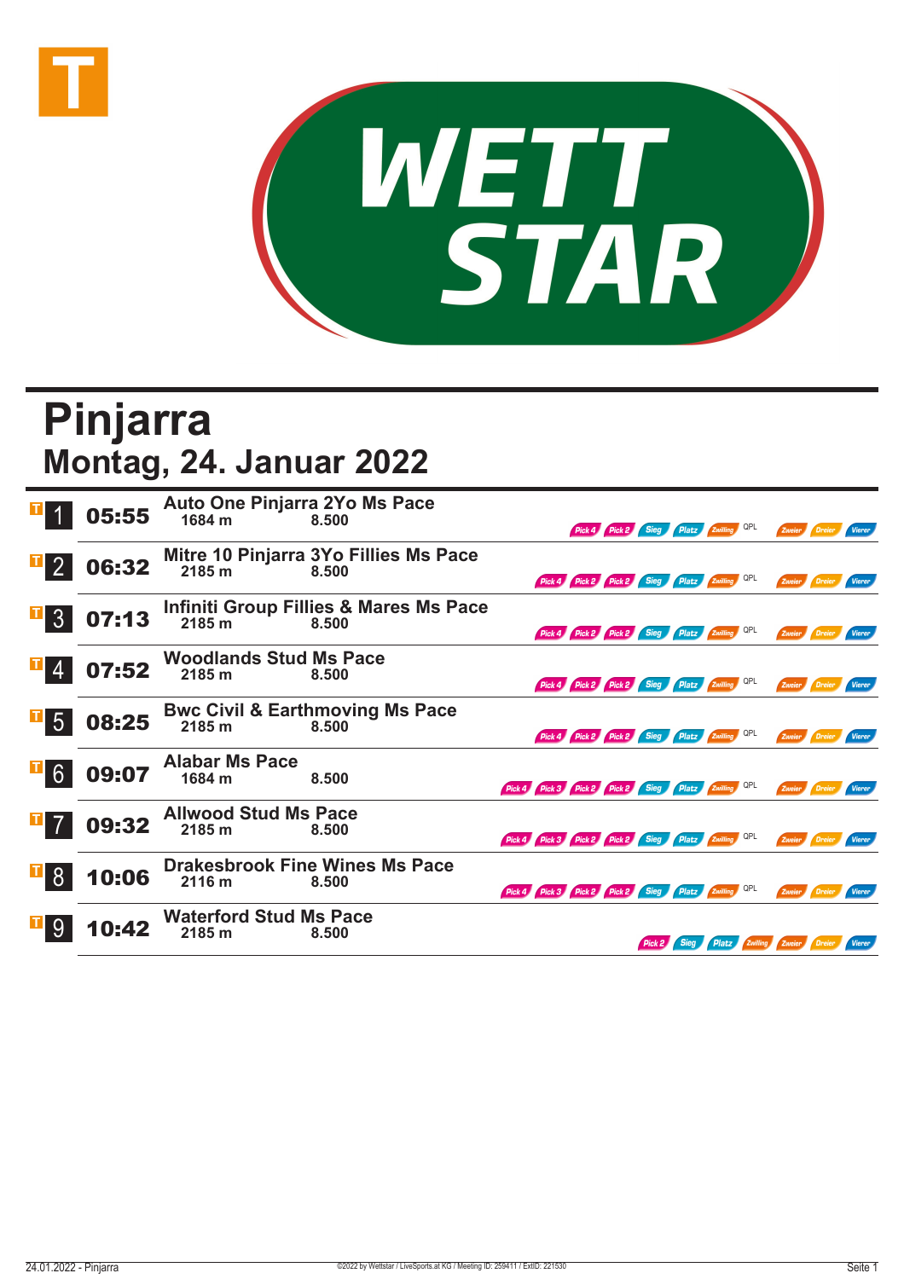



## **Pinjarra Montag, 24. Januar 2022**

|                  | 05:55 | Auto One Pinjarra 2Yo Ms Pace<br>1684 m | 8.500                                                      |                                                     |  |  |                                          | Pick 4 Pick 2 Sieg Platz Zwilling QPL        |                              | Zweier        | / Dreier             |        |
|------------------|-------|-----------------------------------------|------------------------------------------------------------|-----------------------------------------------------|--|--|------------------------------------------|----------------------------------------------|------------------------------|---------------|----------------------|--------|
|                  | 06:32 | 2185 m                                  | Mitre 10 Pinjarra 3Yo Fillies Ms Pace<br>8.500             |                                                     |  |  |                                          | Pick 4 Pick 2 Pick 2 Sieg Platz Zwilling QPL |                              | Zweier        | Dreier               | Vierer |
| 3 <sup>°</sup>   | 07:13 | 2185 m                                  | <b>Infiniti Group Fillies &amp; Mares Ms Pace</b><br>8.500 |                                                     |  |  |                                          | Pick 4 Pick 2 Pick 2 Sieg Platz Zwilling QPL |                              | Zweier        |                      | Vierer |
|                  | 07:52 | <b>Woodlands Stud Ms Pace</b><br>2185 m | 8.500                                                      |                                                     |  |  | Pick 4 Pick 2 Pick 2 Sieg Platz Zwilling |                                              | <b>QPL</b>                   |               | Zweier Dreier        | Vierer |
| $\overline{5}$   | 08:25 | 2185 m                                  | <b>Bwc Civil &amp; Earthmoving Ms Pace</b><br>8.500        |                                                     |  |  |                                          | Pick 4 Pick 2 Pick 2 Sieg Platz Zwilling QPL |                              |               | Zweier Dreier Vierer |        |
| $\overline{1}$ 6 | 09:07 | <b>Alabar Ms Pace</b><br>1684 m         | 8.500                                                      | Pick 4 Pick 3 Pick 2 Pick 2 Sieg Platz Zwilling     |  |  |                                          |                                              | QPL                          | Zweier        |                      |        |
|                  | 09:32 | <b>Allwood Stud Ms Pace</b><br>2185 m   | 8.500                                                      | Pick 4 Pick 3 Pick 2 Pick 2 Sieg Platz Zwilling OPL |  |  |                                          |                                              |                              | Zweier Dreier |                      | Vierer |
| -8               | 10:06 | 2116 m                                  | <b>Drakesbrook Fine Wines Ms Pace</b><br>8.500             | Pick 4 Pick 3 Pick 2 Pick 2 Sieg Platz Zwilling     |  |  |                                          |                                              | QPL                          | Zweier        |                      | Vierer |
|                  | 10:42 | <b>Waterford Stud Ms Pace</b><br>2185 m | 8.500                                                      |                                                     |  |  | <b>Sieg</b>                              |                                              | Platz Zwilling Zweier Dreier |               |                      | Vierer |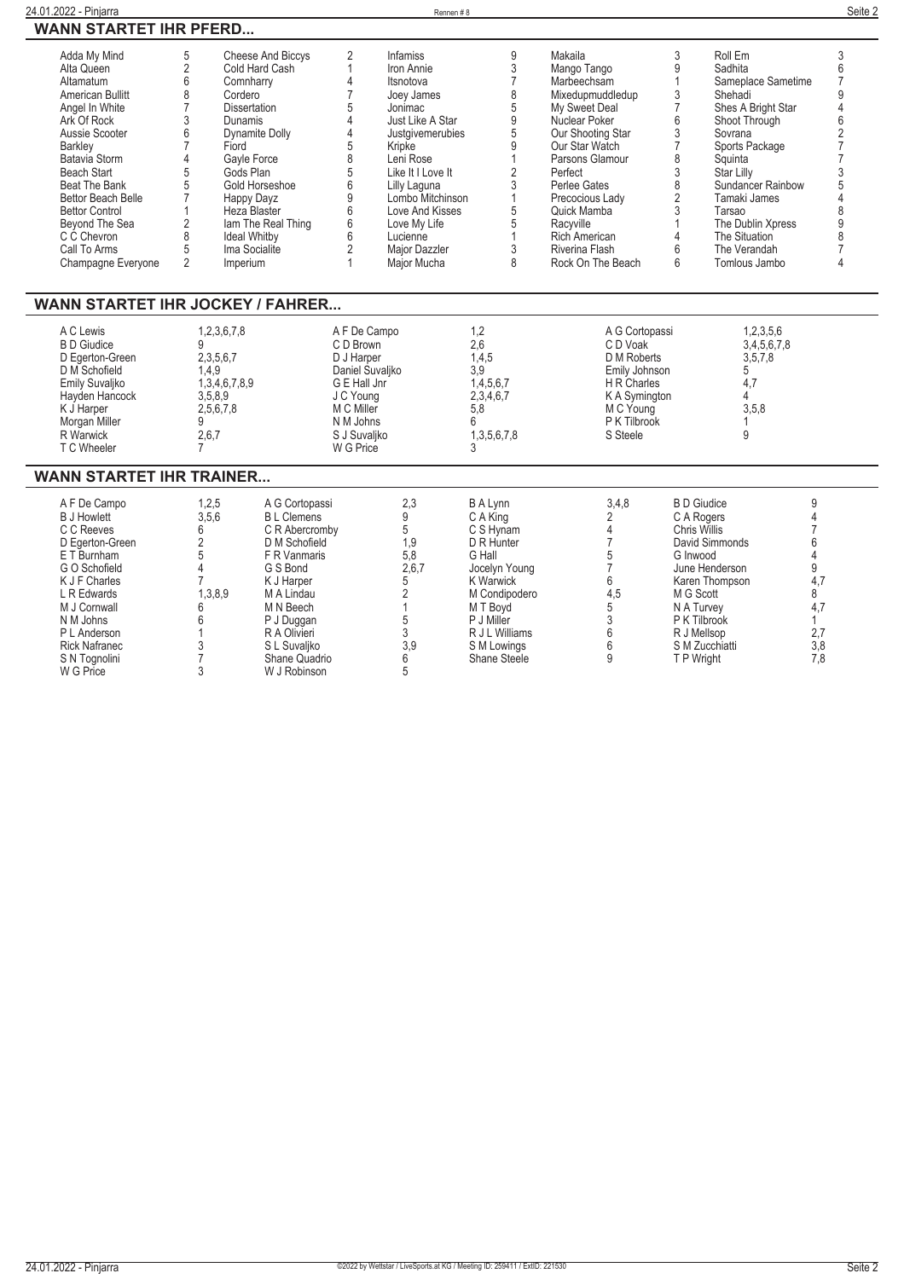| 24.01.2022<br>--<br>Piniarra                    | Rennen # i | Seite 2 |
|-------------------------------------------------|------------|---------|
| <b>STARTET IHR PEERD</b><br><b>WANN</b><br>–≺D… |            |         |

| Adda My Mind              | 5 | <b>Cheese And Biccys</b> | <b>Infamiss</b>   | Makaila              |   | Roll Em                  |  |
|---------------------------|---|--------------------------|-------------------|----------------------|---|--------------------------|--|
| Alta Queen                |   | Cold Hard Cash           | Iron Annie        | Mango Tango          |   | Sadhita                  |  |
| Altamatum                 |   | Comnharry                | Itsnotova         | Marbeechsam          |   | Sameplace Sametime       |  |
| American Bullitt          |   | Cordero                  | Joey James        | Mixedupmuddledup     |   | Shehadi                  |  |
| Angel In White            |   | <b>Dissertation</b>      | Jonimac           | My Sweet Deal        |   | Shes A Bright Star       |  |
| Ark Of Rock               |   | <b>Dunamis</b>           | Just Like A Star  | Nuclear Poker        |   | Shoot Through            |  |
| Aussie Scooter            |   | Dynamite Dolly           | Justgivemerubies  | Our Shooting Star    |   | Sovrana                  |  |
| Barkley                   |   | Fiord                    | Kripke            | Our Star Watch       |   | Sports Package           |  |
| Batavia Storm             |   | Gayle Force              | Leni Rose         | Parsons Glamour      |   | Squinta                  |  |
| <b>Beach Start</b>        |   | Gods Plan                | Like It I Love It | Perfect              |   | Star Lilly               |  |
| Beat The Bank             |   | Gold Horseshoe           | Lilly Laguna      | Perlee Gates         |   | <b>Sundancer Rainbow</b> |  |
| <b>Bettor Beach Belle</b> |   | Happy Dayz               | Lombo Mitchinson  | Precocious Lady      |   | Tamaki James             |  |
| <b>Bettor Control</b>     |   | Heza Blaster             | Love And Kisses   | Quick Mamba          |   | Tarsao                   |  |
| Beyond The Sea            |   | lam The Real Thing       | Love My Life      | Racvville            |   | The Dublin Xpress        |  |
| C C Chevron               |   | <b>Ideal Whitby</b>      | Lucienne          | <b>Rich American</b> |   | The Situation            |  |
| Call To Arms              |   | Ima Socialite            | Major Dazzler     | Riverina Flash       |   | The Verandah             |  |
| Champagne Everyone        |   | Imperium                 | Maior Mucha       | Rock On The Beach    | b | Tomlous Jambo            |  |

## **WANN STARTET IHR JOCKEY / FAHRER...**

| A C Lewis<br><b>B</b> D Giudice<br>D Egerton-Green<br>D M Schofield<br>Emily Suvaljko<br>Hayden Hancock<br>K J Harper | 1,2,3,6,7,8<br>2,3,5,6,7<br>1.4.9<br>1,3,4,6,7,8,9<br>3,5,8,9<br>2,5,6,7,8 | A F De Campo<br>C D Brown<br>D J Harper<br>Daniel Suvaljko<br>G E Hall Jnr<br>J C Young<br>M C Miller | 1.2<br>2.6<br>1.4.5<br>3,9<br>1.4.5.6.7<br>2,3,4,6,7<br>5.8 | A G Cortopassi<br>C D Voak<br>D M Roberts<br>Emily Johnson<br>H R Charles<br>K A Symington<br>M C Young | 1,2,3,5,6<br>3,4,5,6,7,8<br>3,5,7,8<br>4.7<br>3,5,8 |  |
|-----------------------------------------------------------------------------------------------------------------------|----------------------------------------------------------------------------|-------------------------------------------------------------------------------------------------------|-------------------------------------------------------------|---------------------------------------------------------------------------------------------------------|-----------------------------------------------------|--|
| Morgan Miller                                                                                                         |                                                                            | N M Johns                                                                                             |                                                             | P K Tilbrook                                                                                            |                                                     |  |
| R Warwick<br>Г C Wheeler                                                                                              | 2,6,7                                                                      | S J Suvaliko<br>W G Price                                                                             | 1.3.5.6.7.8                                                 | S Steele                                                                                                |                                                     |  |

## **WANN STARTET IHR TRAINER...**

| A F De Campo         | 1,2,5   | A G Cortopassi    | 2,3   | <b>B A Lynn</b> | 3,4,8 | <b>B</b> D Giudice |     |
|----------------------|---------|-------------------|-------|-----------------|-------|--------------------|-----|
| <b>B J Howlett</b>   | 3,5,6   | <b>BL</b> Clemens |       | C A King        |       | C A Rogers         |     |
| C C Reeves           |         | C R Abercromby    |       | C S Hynam       |       | Chris Willis       |     |
| D Egerton-Green      |         | D M Schofield     | 1.9   | D R Hunter      |       | David Simmonds     |     |
| E T Burnham          |         | F R Vanmaris      | 5,8   | G Hall          |       | G Inwood           |     |
| G O Schofield        |         | G S Bond          | 2,6,7 | Jocelyn Young   |       | June Henderson     |     |
| K J F Charles        |         | K J Harper        |       | K Warwick       |       | Karen Thompson     |     |
| L R Edwards          | 1,3,8,9 | M A Lindau        |       | M Condipodero   | 4,5   | M G Scott          |     |
| M J Cornwall         |         | M N Beech         |       | M T Bovd        |       | N A Turvey         |     |
| N M Johns            |         | P J Duggan        |       | P J Miller      |       | P K Tilbrook       |     |
| P L Anderson         |         | R A Olivieri      |       | R J L Williams  |       | R J Mellsop        | 2,7 |
| <b>Rick Nafranec</b> |         | S L Suvaliko      | 3.9   | S M Lowings     |       | S M Zucchiatti     | 3,8 |
| S N Tognolini        |         | Shane Quadrio     |       | Shane Steele    |       | T P Wright         | 7.8 |
| W G Price            |         | W J Robinson      |       |                 |       |                    |     |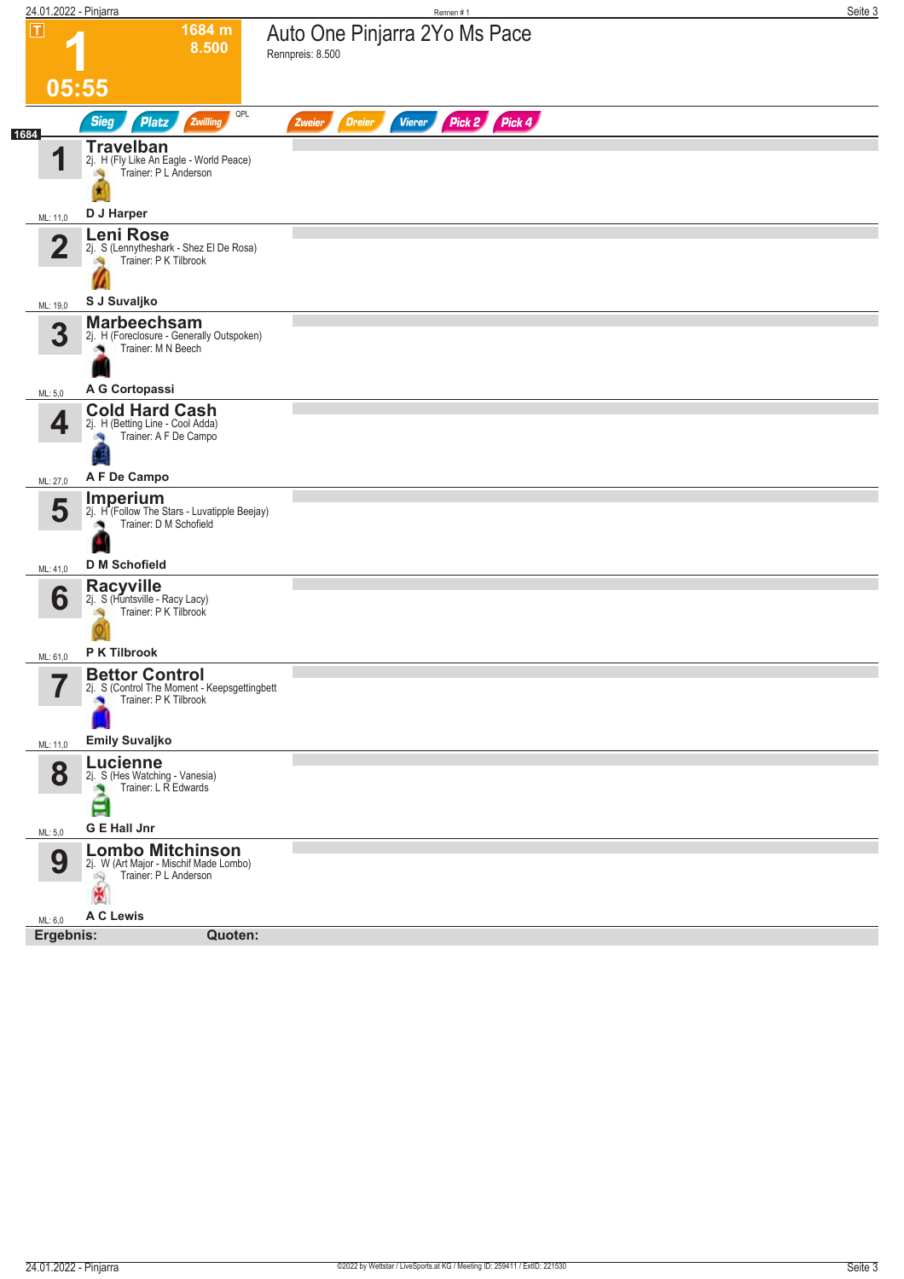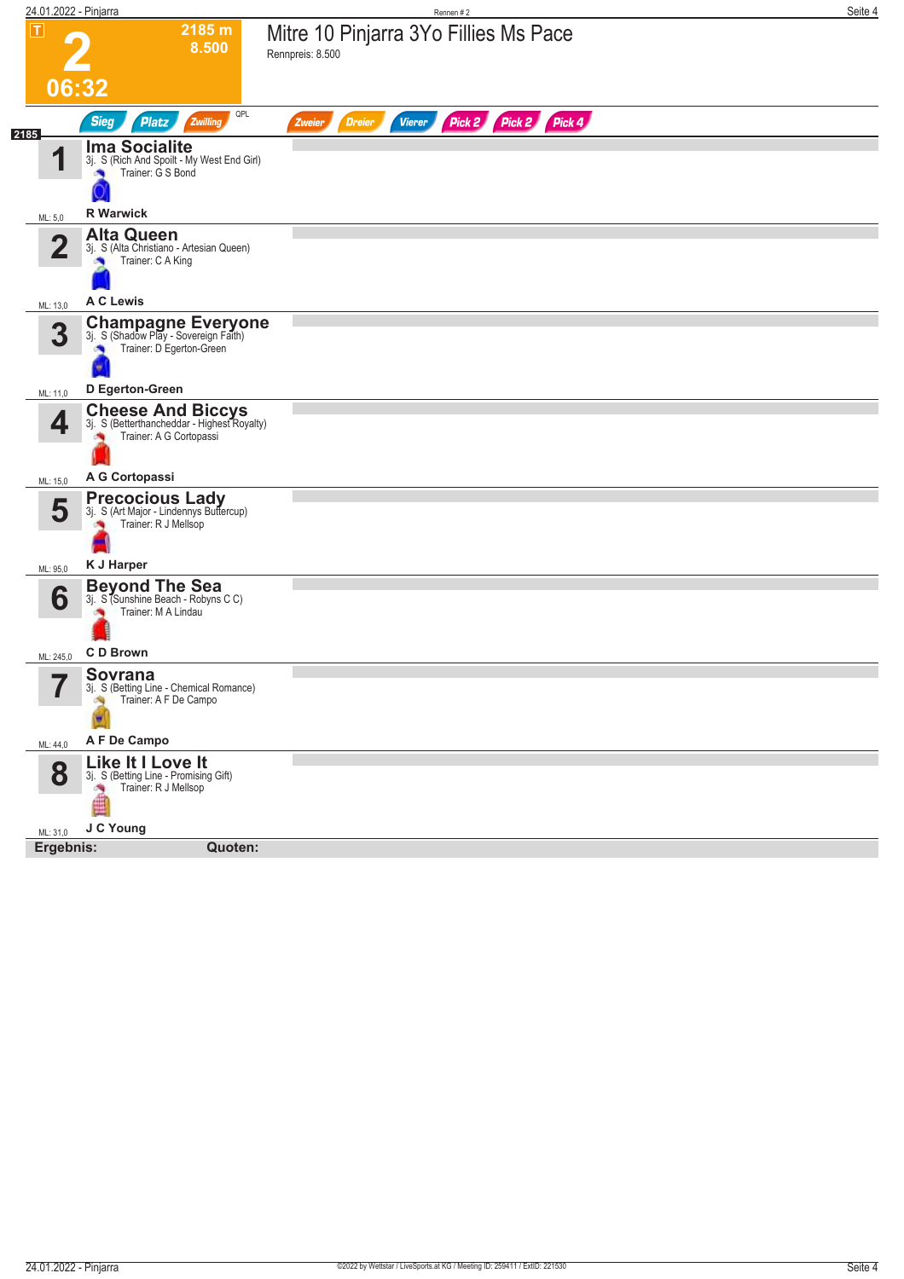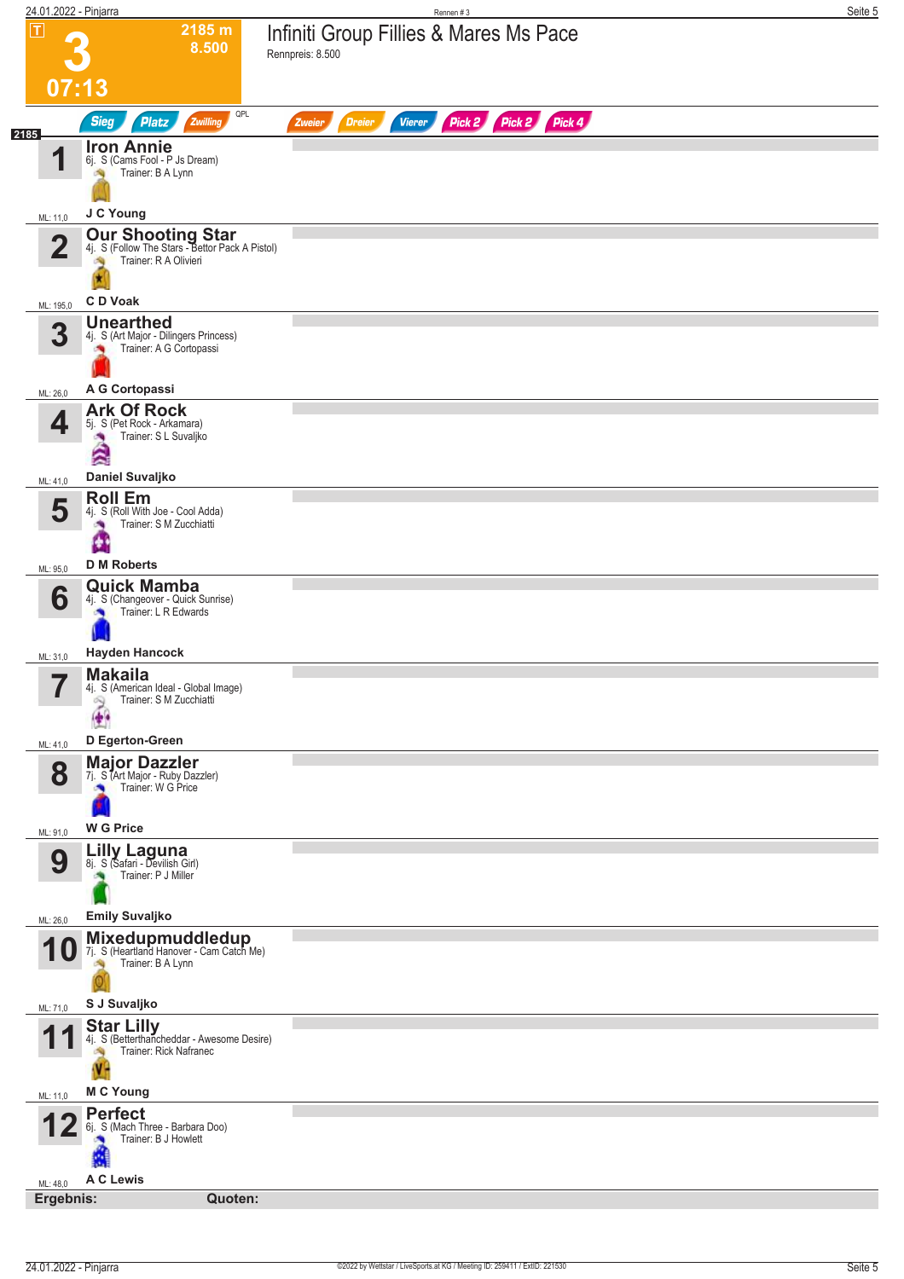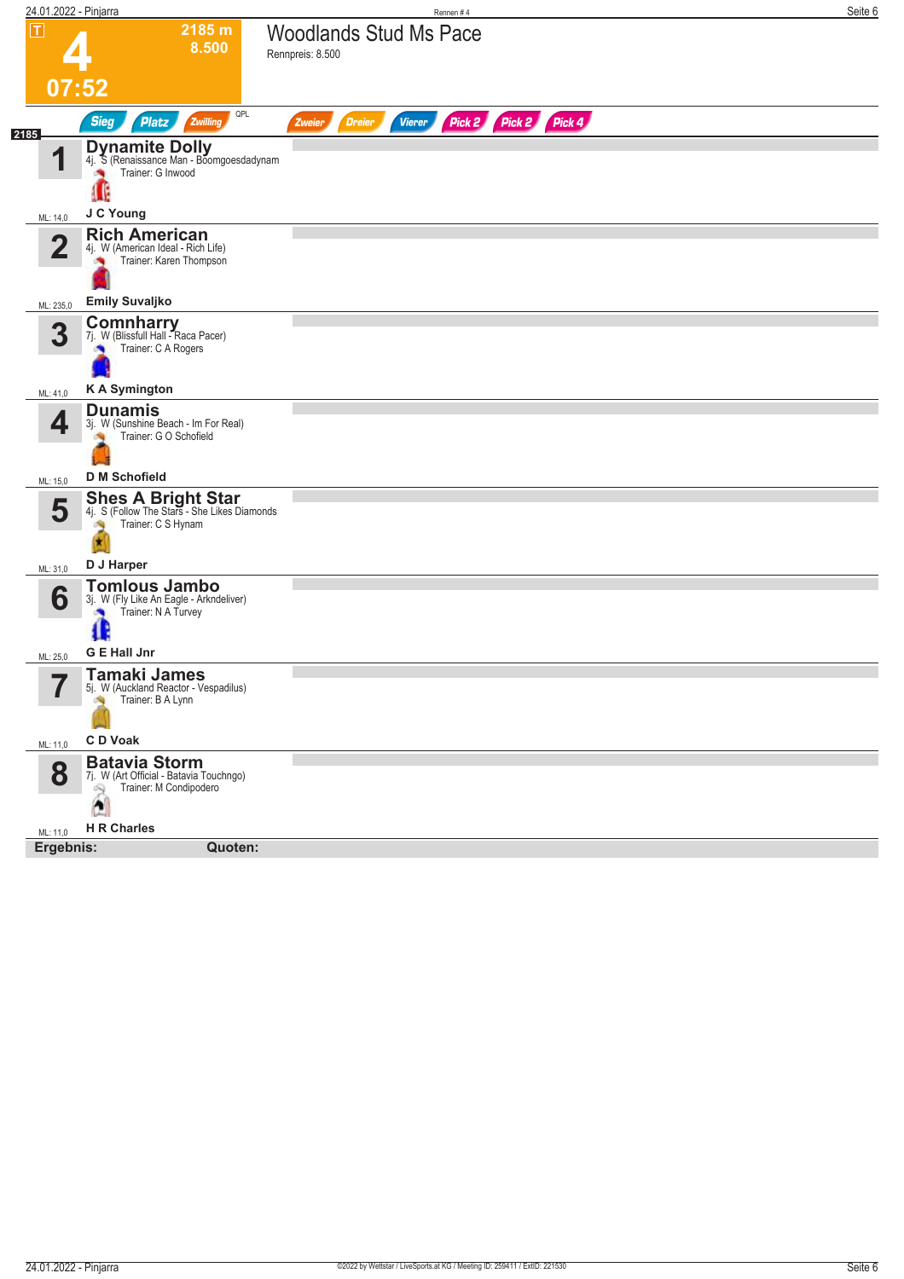| $\overline{\mathbf{r}}$<br>07:52<br><b>Sieg</b><br>2185<br>1<br>ML: 14,0<br>$\overline{2}$<br>ML: 235,0<br>3<br>ML: 41,0<br>4<br>ML: 15,0<br>5 | 2185 m<br>8.500<br>QPL<br>Zwilling<br><b>Platz</b><br><b>Dynamite Dolly</b><br>4j. S (Renaissance Man - Boomgoesdadynam<br>Trainer: G Inwood<br>J C Young<br><b>Rich American</b><br>4j. W (American Ideal - Rich Life)<br>Trainer: Karen Thompson<br><b>Emily Suvaljko</b><br><b>Comnharry</b><br>7j. W (Blissfull Hall - Raca Pacer)<br>Trainer: C A Rogers | <b>Woodlands Stud Ms Pace</b><br>Rennpreis: 8.500<br>Vierer<br><b>Dreier</b><br>Zweier | Pick 2 Pick 2 | Pick 4 |  |
|------------------------------------------------------------------------------------------------------------------------------------------------|---------------------------------------------------------------------------------------------------------------------------------------------------------------------------------------------------------------------------------------------------------------------------------------------------------------------------------------------------------------|----------------------------------------------------------------------------------------|---------------|--------|--|
|                                                                                                                                                |                                                                                                                                                                                                                                                                                                                                                               |                                                                                        |               |        |  |
|                                                                                                                                                |                                                                                                                                                                                                                                                                                                                                                               |                                                                                        |               |        |  |
|                                                                                                                                                |                                                                                                                                                                                                                                                                                                                                                               |                                                                                        |               |        |  |
|                                                                                                                                                |                                                                                                                                                                                                                                                                                                                                                               |                                                                                        |               |        |  |
|                                                                                                                                                |                                                                                                                                                                                                                                                                                                                                                               |                                                                                        |               |        |  |
|                                                                                                                                                |                                                                                                                                                                                                                                                                                                                                                               |                                                                                        |               |        |  |
|                                                                                                                                                |                                                                                                                                                                                                                                                                                                                                                               |                                                                                        |               |        |  |
|                                                                                                                                                |                                                                                                                                                                                                                                                                                                                                                               |                                                                                        |               |        |  |
|                                                                                                                                                | <b>KA Symington</b>                                                                                                                                                                                                                                                                                                                                           |                                                                                        |               |        |  |
|                                                                                                                                                | <b>Dunamis</b><br>3j. W (Sunshine Beach - Im For Real)<br>Trainer: G O Schofield<br><b>D</b> M Schofield                                                                                                                                                                                                                                                      |                                                                                        |               |        |  |
|                                                                                                                                                |                                                                                                                                                                                                                                                                                                                                                               |                                                                                        |               |        |  |
|                                                                                                                                                | <b>Shes A Bright Star</b><br>4j. S (Follow The Stars - She Likes Diamonds<br>Trainer: C S Hynam                                                                                                                                                                                                                                                               |                                                                                        |               |        |  |
| ML: 31,0                                                                                                                                       | D J Harper                                                                                                                                                                                                                                                                                                                                                    |                                                                                        |               |        |  |
| 6<br>Œ<br>ML: 25,0                                                                                                                             | <b>Tomlous Jambo</b><br>3j. W (Fly Like An Eagle - Arkndeliver)<br>Trainer: N A Turvey<br><b>G E Hall Jnr</b>                                                                                                                                                                                                                                                 |                                                                                        |               |        |  |
| 77                                                                                                                                             | <b>Tamaki James</b><br>5j. W (Auckland Reactor - Vespadilus)<br>Trainer: B A Lynn                                                                                                                                                                                                                                                                             |                                                                                        |               |        |  |
| C D Voak<br>ML: 11,0                                                                                                                           |                                                                                                                                                                                                                                                                                                                                                               |                                                                                        |               |        |  |
| 8<br>$\mathbb{R}$<br>$\Delta$                                                                                                                  | <b>Batavia Storm</b><br>7j. W (Art Official - Batavia Touchngo)<br>Trainer: M Condipodero                                                                                                                                                                                                                                                                     |                                                                                        |               |        |  |
| <b>H R Charles</b><br>ML: 11,0                                                                                                                 |                                                                                                                                                                                                                                                                                                                                                               |                                                                                        |               |        |  |
| Ergebnis:                                                                                                                                      |                                                                                                                                                                                                                                                                                                                                                               |                                                                                        |               |        |  |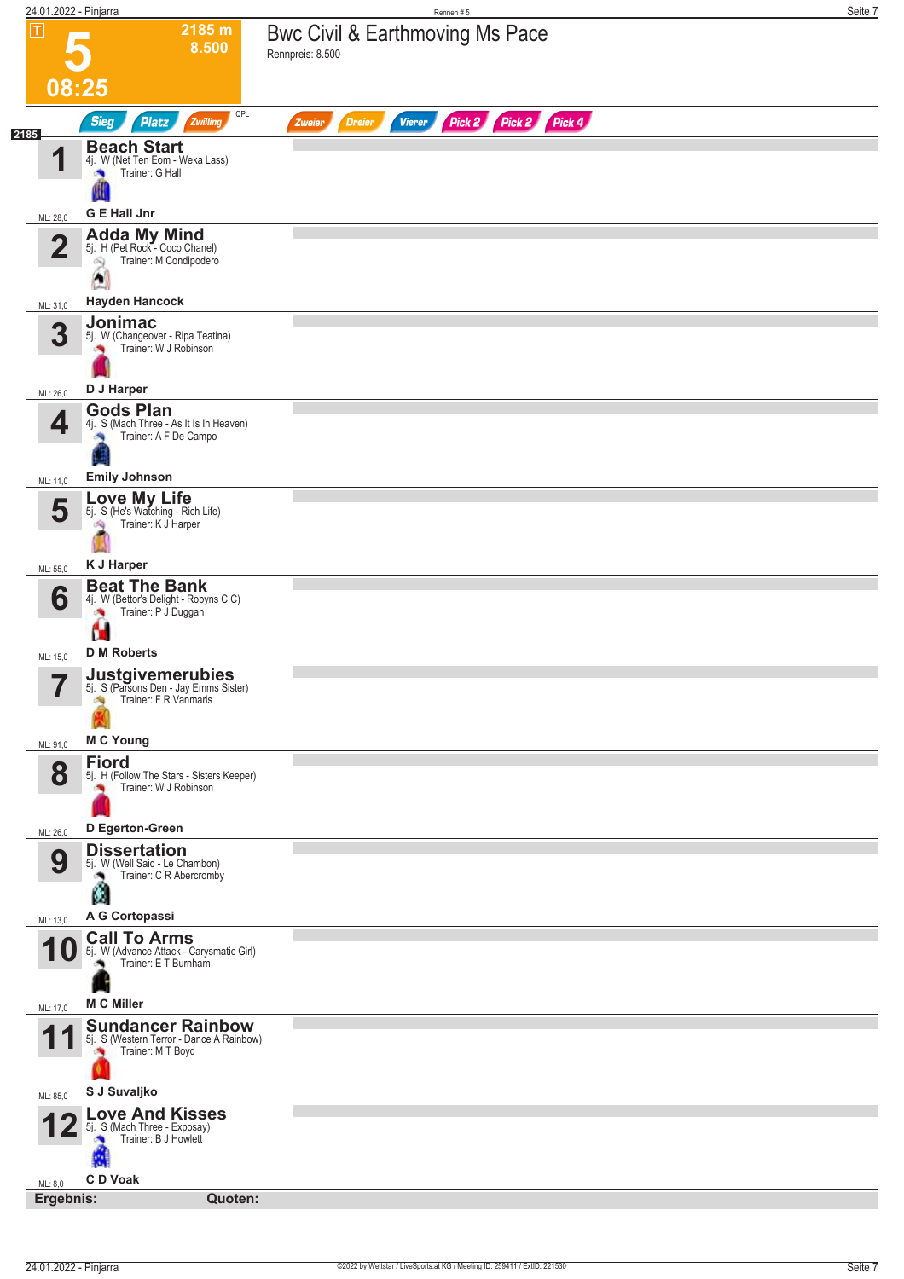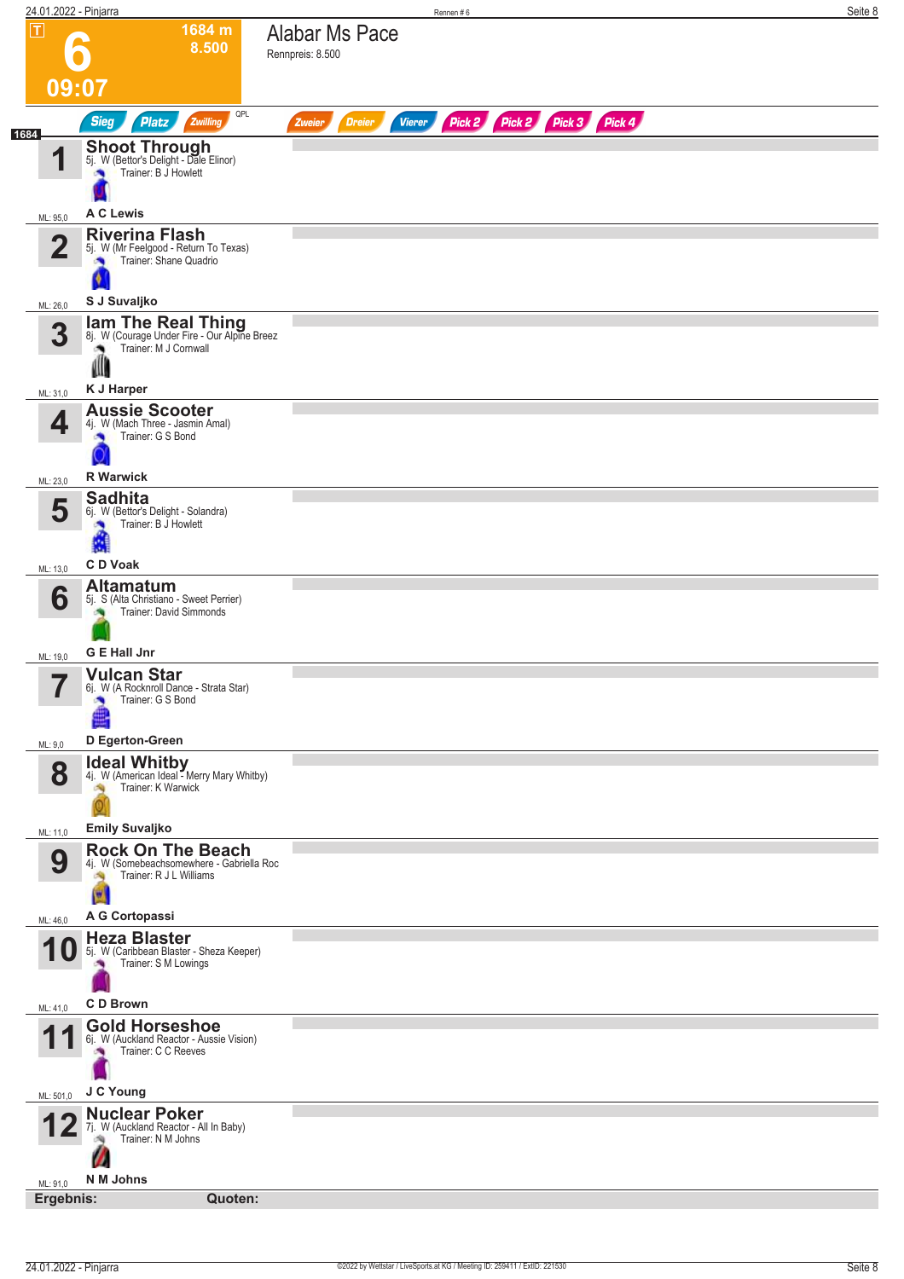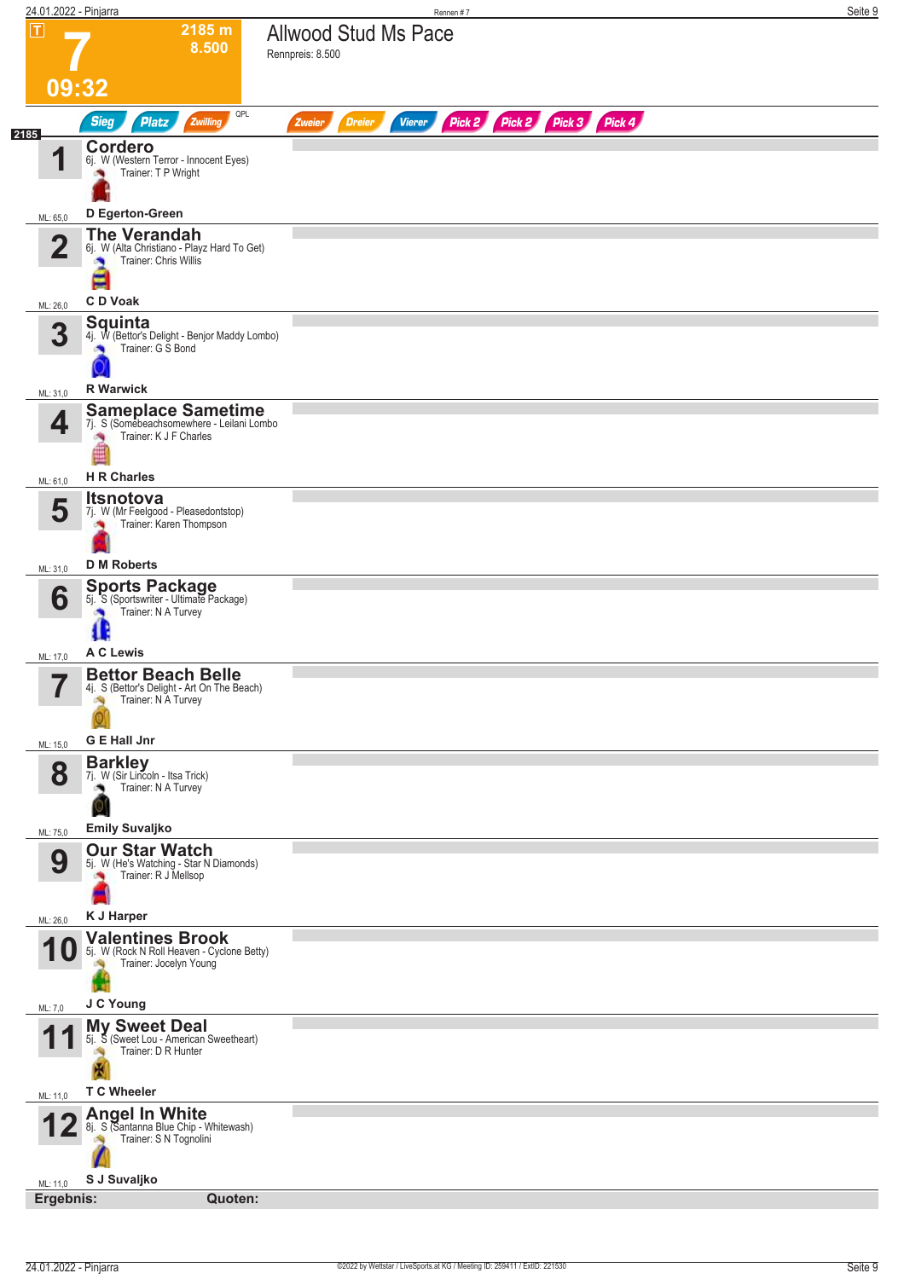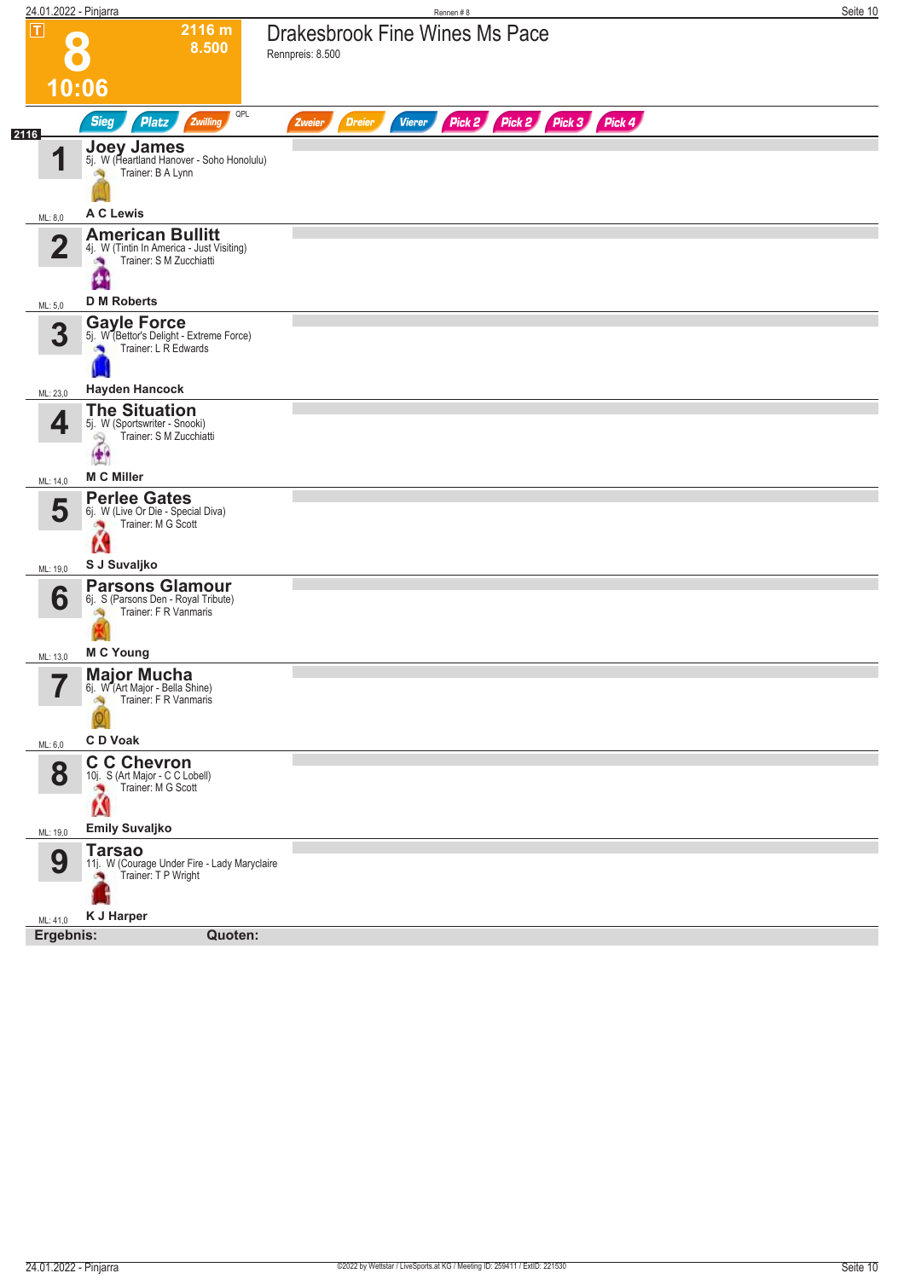| 24.01.2022 - Pinjarra         |                                                                                                                        | Rennen #8                                                        | Seite 10 |
|-------------------------------|------------------------------------------------------------------------------------------------------------------------|------------------------------------------------------------------|----------|
| $\overline{\mathbf{L}}$       | 2116 m<br>8.500                                                                                                        | <b>Drakesbrook Fine Wines Ms Pace</b><br>Rennpreis: 8.500        |          |
|                               | 10:06                                                                                                                  |                                                                  |          |
| 2116                          | QPL<br><b>Sieg</b><br><b>Platz</b><br>Zwilling                                                                         | Pick 2 Pick 2 Pick 3 Pick 4<br><b>Dreier</b><br>Vierer<br>Zweier |          |
| 1                             | <b>Joey James</b><br>5j. W (Heartland Hanover - Soho Honolulu)<br>Trainer: B A Lynn                                    |                                                                  |          |
| ML: 8,0                       | <b>A C Lewis</b>                                                                                                       |                                                                  |          |
| $\mathbf{2}$                  | <b>American Bullitt</b><br>4j. W (Tintin In America - Just Visiting)<br>Trainer: S M Zucchiatti                        |                                                                  |          |
| ML: 5,0                       | <b>D M Roberts</b>                                                                                                     |                                                                  |          |
| 3                             | <b>Gayle Force</b><br>5j. W (Bettor's Delight - Extreme Force)<br>Trainer: L R Edwards                                 |                                                                  |          |
| ML: 23,0                      | <b>Hayden Hancock</b>                                                                                                  |                                                                  |          |
| 4                             | <b>The Situation</b><br>5j. W (Sportswriter - Snooki)<br>Trainer: S M Zucchiatti<br>$\mathfrak{D}$<br>$\ddot{\bullet}$ |                                                                  |          |
| ML: 14,0                      | <b>M C Miller</b>                                                                                                      |                                                                  |          |
| 5<br>ML: 19,0                 | <b>Perlee Gates</b><br>6j. W (Live Or Die - Special Diva)<br>Trainer: M G Scott<br>Ń<br>S J Suvaljko                   |                                                                  |          |
|                               | <b>Parsons Glamour</b>                                                                                                 |                                                                  |          |
| 6                             | 6j. S (Parsons Den - Royal Tribute)<br>Trainer: F R Vanmaris                                                           |                                                                  |          |
| ML: 13,0                      | <b>M C Young</b>                                                                                                       |                                                                  |          |
| $\overline{\phantom{a}}$<br>ı | <b>Major Mucha</b><br>6j. W (Art Major - Bella Shine)<br>Trainer: F R Vanmaris<br>e Sig                                |                                                                  |          |
| ML: 6,0                       | C D Voak                                                                                                               |                                                                  |          |
| 8                             | <b>C C Chevron</b><br>10j. S (Art Major - C C Lobell)<br>Trainer: M G Scott<br>À                                       |                                                                  |          |
| ML: 19,0                      | <b>Emily Suvaljko</b>                                                                                                  |                                                                  |          |
| 9                             | <b>Tarsao</b><br>11j. W (Courage Under Fire - Lady Maryclaire<br>Trainer: T P Wright<br>×.                             |                                                                  |          |
| ML: 41,0                      | <b>K J Harper</b>                                                                                                      |                                                                  |          |
| Ergebnis:                     | Quoten:                                                                                                                |                                                                  |          |